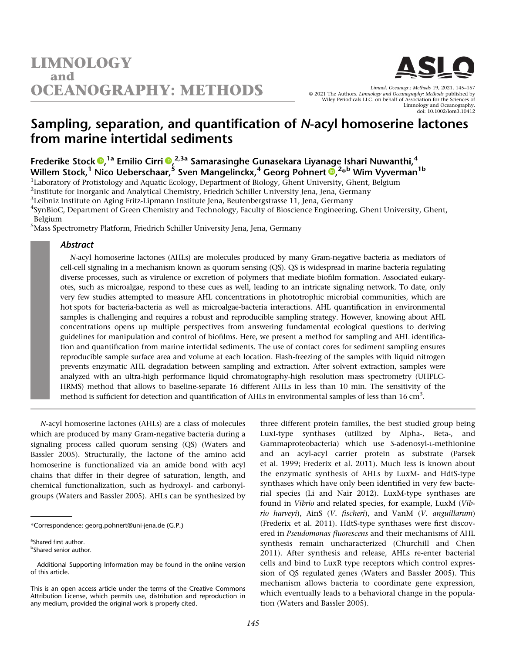

Limnol. Oceanogr.: Methods 19, 2021, 145–157 © 2021 The Authors. Limnology and Oceanography: Methods published by Wiley Periodicals LLC. on behalf of Association for the Sciences of Limnology and Oceanography. doi: 10.1002/lom3.10412

# Sampling, separation, and quantification of N-acyl homoserine lactones from marine intertidal sediments

Frederike Stock <sup>®[,](https://orcid.org/0000-0001-8923-4273) 1a</sup> Emilio Cirri ®,<sup>2,3a</sup> Samarasinghe Gunasekara Liyanage Ishari Nuwanthi,<sup>4</sup> Willem Stock[,](https://orcid.org/0000-0003-2351-6336) $^1$  Nico Ueberschaar, $^5$  Sven Mangelinckx, $^4$  Georg Pohnert  $\bar{\mathbf{O}}$ , $^{2*}$ b Wim Vyverman $^{1\mathrm{b}}$ 

<sup>1</sup>Laboratory of Protistology and Aquatic Ecology, Department of Biology, Ghent University, Ghent, Belgium

<sup>2</sup>Institute for Inorganic and Analytical Chemistry, Friedrich Schiller University Jena, Jena, Germany

 ${}^{3}$ Leibniz Institute on Aging Fritz-Lipmann Institute Jena, Beutenbergstrasse 11, Jena, Germany

4 SynBioC, Department of Green Chemistry and Technology, Faculty of Bioscience Engineering, Ghent University, Ghent, Belgium

<sup>5</sup>Mass Spectrometry Platform, Friedrich Schiller University Jena, Jena, Germany

# Abstract

N-acyl homoserine lactones (AHLs) are molecules produced by many Gram-negative bacteria as mediators of cell-cell signaling in a mechanism known as quorum sensing (QS). QS is widespread in marine bacteria regulating diverse processes, such as virulence or excretion of polymers that mediate biofilm formation. Associated eukaryotes, such as microalgae, respond to these cues as well, leading to an intricate signaling network. To date, only very few studies attempted to measure AHL concentrations in phototrophic microbial communities, which are hot spots for bacteria-bacteria as well as microalgae-bacteria interactions. AHL quantification in environmental samples is challenging and requires a robust and reproducible sampling strategy. However, knowing about AHL concentrations opens up multiple perspectives from answering fundamental ecological questions to deriving guidelines for manipulation and control of biofilms. Here, we present a method for sampling and AHL identification and quantification from marine intertidal sediments. The use of contact cores for sediment sampling ensures reproducible sample surface area and volume at each location. Flash-freezing of the samples with liquid nitrogen prevents enzymatic AHL degradation between sampling and extraction. After solvent extraction, samples were analyzed with an ultra-high performance liquid chromatography-high resolution mass spectrometry (UHPLC-HRMS) method that allows to baseline-separate 16 different AHLs in less than 10 min. The sensitivity of the method is sufficient for detection and quantification of AHLs in environmental samples of less than 16  $cm<sup>3</sup>$ .

N-acyl homoserine lactones (AHLs) are a class of molecules which are produced by many Gram-negative bacteria during a signaling process called quorum sensing (QS) (Waters and Bassler 2005). Structurally, the lactone of the amino acid homoserine is functionalized via an amide bond with acyl chains that differ in their degree of saturation, length, and chemical functionalization, such as hydroxyl- and carbonylgroups (Waters and Bassler 2005). AHLs can be synthesized by

<sup>a</sup>Shared first author.<br><sup>b</sup>Shared sonior auth

Shared senior author.

three different protein families, the best studied group being LuxI-type synthases (utilized by Alpha-, Beta-, and Gammaproteobacteria) which use S-adenosyl-L-methionine and an acyl-acyl carrier protein as substrate (Parsek et al. 1999; Frederix et al. 2011). Much less is known about the enzymatic synthesis of AHLs by LuxM- and HdtS-type synthases which have only been identified in very few bacterial species (Li and Nair 2012). LuxM-type synthases are found in Vibrio and related species, for example, LuxM (Vibrio harveyi), AinS (V. fischeri), and VanM (V. anguillarum) (Frederix et al. 2011). HdtS-type synthases were first discovered in Pseudomonas fluorescens and their mechanisms of AHL synthesis remain uncharacterized (Churchill and Chen 2011). After synthesis and release, AHLs re-enter bacterial cells and bind to LuxR type receptors which control expression of QS regulated genes (Waters and Bassler 2005). This mechanism allows bacteria to coordinate gene expression, which eventually leads to a behavioral change in the population (Waters and Bassler 2005).

<sup>\*</sup>Correspondence: [georg.pohnert@uni-jena.de](mailto:georg.pohnert@uni-jena.de) (G.P.)

Additional Supporting Information may be found in the online version of this article.

This is an open access article under the terms of the [Creative Commons](http://creativecommons.org/licenses/by/4.0/) [Attribution](http://creativecommons.org/licenses/by/4.0/) License, which permits use, distribution and reproduction in any medium, provided the original work is properly cited.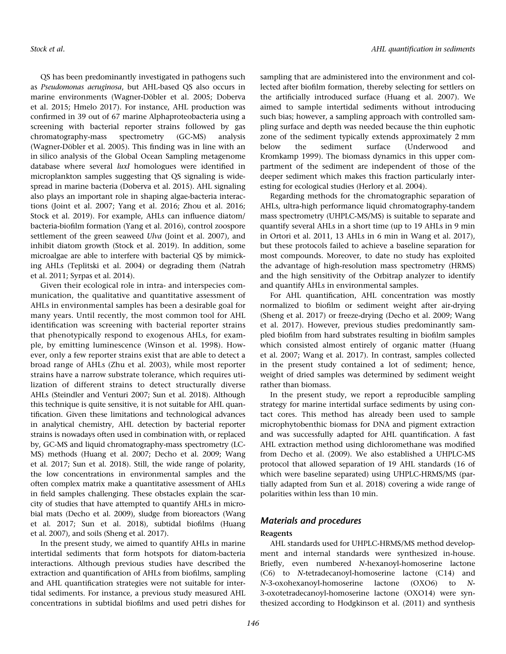QS has been predominantly investigated in pathogens such as Pseudomonas aeruginosa, but AHL-based QS also occurs in marine environments (Wagner-Döbler et al. 2005; Doberva et al. 2015; Hmelo 2017). For instance, AHL production was confirmed in 39 out of 67 marine Alphaproteobacteria using a screening with bacterial reporter strains followed by gas chromatography-mass spectrometry (GC-MS) analysis (Wagner-Döbler et al. 2005). This finding was in line with an in silico analysis of the Global Ocean Sampling metagenome database where several luxI homologues were identified in microplankton samples suggesting that QS signaling is widespread in marine bacteria (Doberva et al. 2015). AHL signaling also plays an important role in shaping algae-bacteria interactions (Joint et al. 2007; Yang et al. 2016; Zhou et al. 2016; Stock et al. 2019). For example, AHLs can influence diatom/ bacteria-biofilm formation (Yang et al. 2016), control zoospore settlement of the green seaweed Ulva (Joint et al. 2007), and inhibit diatom growth (Stock et al. 2019). In addition, some microalgae are able to interfere with bacterial QS by mimicking AHLs (Teplitski et al. 2004) or degrading them (Natrah et al. 2011; Syrpas et al. 2014).

Given their ecological role in intra- and interspecies communication, the qualitative and quantitative assessment of AHLs in environmental samples has been a desirable goal for many years. Until recently, the most common tool for AHL identification was screening with bacterial reporter strains that phenotypically respond to exogenous AHLs, for example, by emitting luminescence (Winson et al. 1998). However, only a few reporter strains exist that are able to detect a broad range of AHLs (Zhu et al. 2003), while most reporter strains have a narrow substrate tolerance, which requires utilization of different strains to detect structurally diverse AHLs (Steindler and Venturi 2007; Sun et al. 2018). Although this technique is quite sensitive, it is not suitable for AHL quantification. Given these limitations and technological advances in analytical chemistry, AHL detection by bacterial reporter strains is nowadays often used in combination with, or replaced by, GC-MS and liquid chromatography-mass spectrometry (LC-MS) methods (Huang et al. 2007; Decho et al. 2009; Wang et al. 2017; Sun et al. 2018). Still, the wide range of polarity, the low concentrations in environmental samples and the often complex matrix make a quantitative assessment of AHLs in field samples challenging. These obstacles explain the scarcity of studies that have attempted to quantify AHLs in microbial mats (Decho et al. 2009), sludge from bioreactors (Wang et al. 2017; Sun et al. 2018), subtidal biofilms (Huang et al. 2007), and soils (Sheng et al. 2017).

In the present study, we aimed to quantify AHLs in marine intertidal sediments that form hotspots for diatom-bacteria interactions. Although previous studies have described the extraction and quantification of AHLs from biofilms, sampling and AHL quantification strategies were not suitable for intertidal sediments. For instance, a previous study measured AHL concentrations in subtidal biofilms and used petri dishes for sampling that are administered into the environment and collected after biofilm formation, thereby selecting for settlers on the artificially introduced surface (Huang et al. 2007). We aimed to sample intertidal sediments without introducing such bias; however, a sampling approach with controlled sampling surface and depth was needed because the thin euphotic zone of the sediment typically extends approximately 2 mm below the sediment surface (Underwood and Kromkamp 1999). The biomass dynamics in this upper compartment of the sediment are independent of those of the deeper sediment which makes this fraction particularly interesting for ecological studies (Herlory et al. 2004).

Regarding methods for the chromatographic separation of AHLs, ultra-high performance liquid chromatography-tandem mass spectrometry (UHPLC-MS/MS) is suitable to separate and quantify several AHLs in a short time (up to 19 AHLs in 9 min in Ortori et al. 2011, 13 AHLs in 6 min in Wang et al. 2017), but these protocols failed to achieve a baseline separation for most compounds. Moreover, to date no study has exploited the advantage of high-resolution mass spectrometry (HRMS) and the high sensitivity of the Orbitrap analyzer to identify and quantify AHLs in environmental samples.

For AHL quantification, AHL concentration was mostly normalized to biofilm or sediment weight after air-drying (Sheng et al. 2017) or freeze-drying (Decho et al. 2009; Wang et al. 2017). However, previous studies predominantly sampled biofilm from hard substrates resulting in biofilm samples which consisted almost entirely of organic matter (Huang et al. 2007; Wang et al. 2017). In contrast, samples collected in the present study contained a lot of sediment; hence, weight of dried samples was determined by sediment weight rather than biomass.

In the present study, we report a reproducible sampling strategy for marine intertidal surface sediments by using contact cores. This method has already been used to sample microphytobenthic biomass for DNA and pigment extraction and was successfully adapted for AHL quantification. A fast AHL extraction method using dichloromethane was modified from Decho et al. (2009). We also established a UHPLC-MS protocol that allowed separation of 19 AHL standards (16 of which were baseline separated) using UHPLC-HRMS/MS (partially adapted from Sun et al. 2018) covering a wide range of polarities within less than 10 min.

# Materials and procedures

## Reagents

AHL standards used for UHPLC-HRMS/MS method development and internal standards were synthesized in-house. Briefly, even numbered N-hexanoyl-homoserine lactone (C6) to N-tetradecanoyl-homoserine lactone (C14) and N-3-oxohexanoyl-homoserine lactone (OXO6) to N-3-oxotetradecanoyl-homoserine lactone (OXO14) were synthesized according to Hodgkinson et al. (2011) and synthesis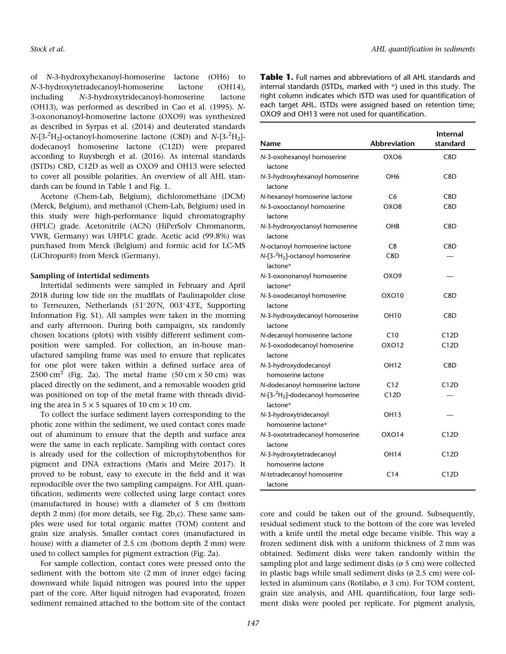of N-3-hydroxyhexanoyl-homoserine lactone (OH6) to N-3-hydroxytetradecanoyl-homoserine lactone (OH14), including N-3-hydroxytridecanoyl-homoserine lactone (OH13), was performed as described in Cao et al. (1995). N-3-oxononanoyl-homoserine lactone (OXO9) was synthesized as described in Syrpas et al. (2014) and deuterated standards  $N$ -[3-<sup>2</sup>H<sub>2</sub>]-octanoyl-homoserine lactone (C8D) and  $N$ -[3-<sup>2</sup>H<sub>2</sub>]dodecanoyl homoserine lactone (C12D) were prepared according to Ruysbergh et al. (2016). As internal standards (ISTDs) C8D, C12D as well as OXO9 and OH13 were selected to cover all possible polarities. An overview of all AHL standards can be found in Table 1 and Fig. 1.

Acetone (Chem-Lab, Belgium), dichloromethane (DCM) (Merck, Belgium), and methanol (Chem-Lab, Belgium) used in this study were high-performance liquid chromatography (HPLC) grade. Acetonitrile (ACN) (HiPerSolv Chromanorm, VWR, Germany) was UHPLC grade. Acetic acid (99.8%) was purchased from Merck (Belgium) and formic acid for LC-MS (LiChropur®) from Merck (Germany).

# Sampling of intertidal sediments

Intertidal sediments were sampled in February and April 2018 during low tide on the mudflats of Paulinapolder close to Terneuzen, Netherlands (51°20'N, 003°43'E, Supporting Information Fig. S1). All samples were taken in the morning and early afternoon. During both campaigns, six randomly chosen locations (plots) with visibly different sediment composition were sampled. For collection, an in-house manufactured sampling frame was used to ensure that replicates for one plot were taken within a defined surface area of 2500 cm<sup>2</sup> (Fig. 2a). The metal frame (50 cm  $\times$  50 cm) was placed directly on the sediment, and a removable wooden grid was positioned on top of the metal frame with threads dividing the area in  $5 \times 5$  squares of 10 cm  $\times$  10 cm.

To collect the surface sediment layers corresponding to the photic zone within the sediment, we used contact cores made out of aluminum to ensure that the depth and surface area were the same in each replicate. Sampling with contact cores is already used for the collection of microphytobenthos for pigment and DNA extractions (Maris and Meire 2017). It proved to be robust, easy to execute in the field and it was reproducible over the two sampling campaigns. For AHL quantification, sediments were collected using large contact cores (manufactured in house) with a diameter of 5 cm (bottom depth 2 mm) (for more details, see Fig. 2b,c). These same samples were used for total organic matter (TOM) content and grain size analysis. Smaller contact cores (manufactured in house) with a diameter of 2.5 cm (bottom depth 2 mm) were used to collect samples for pigment extraction (Fig. 2a).

For sample collection, contact cores were pressed onto the sediment with the bottom site (2 mm of inner edge) facing downward while liquid nitrogen was poured into the upper part of the core. After liquid nitrogen had evaporated, frozen sediment remained attached to the bottom site of the contact

Table 1. Full names and abbreviations of all AHL standards and internal standards (ISTDs, marked with \*) used in this study. The right column indicates which ISTD was used for quantification of each target AHL. ISTDs were assigned based on retention time; OXO9 and OH13 were not used for quantification.

| Name                                                                     | <b>Abbreviation</b> | <b>Internal</b><br>standard |
|--------------------------------------------------------------------------|---------------------|-----------------------------|
| N-3-oxohexanoyl homoserine<br>lactone                                    | OXO6                | C8D                         |
| N-3-hydroxyhexanoyl homoserine<br>lactone                                | OH <sub>6</sub>     | C8D                         |
| N-hexanoyl homoserine lactone                                            | C6                  | C8D                         |
| N-3-oxooctanoyl homoserine<br>lactone                                    | OXO8                | C8D                         |
| N-3-hydroxyoctanoyl homoserine<br>lactone                                | OH8                 | C8D                         |
| N-octanoyl homoserine lactone                                            | C <sub>8</sub>      | C8D                         |
| $N$ -[3- $^{2}H_{2}$ ]-octanoyl homoserine<br>lactone*                   | C8D                 |                             |
| N-3-oxononanoyl homoserine<br>lactone*                                   | OXO <sub>9</sub>    |                             |
| N-3-oxodecanoyl homoserine<br>lactone                                    | OXO10               | C8D                         |
| N-3-hydroxydecanoyl homoserine<br>lactone                                | OH10                | C8D                         |
| N-decanoyl homoserine lactone                                            | C10                 | C12D                        |
| N-3-oxododecanoyl homoserine<br>lactone                                  | OXO12               | C12D                        |
| N-3-hydroxydodecanoyl<br>homoserine lactone                              | OH12                | C8D                         |
| N-dodecanoyl homoserine lactone                                          | C12                 | C12D                        |
| $N$ -[3- <sup>2</sup> H <sub>2</sub> ]-dodecanoyl homoserine<br>lactone* | C12D                |                             |
| N-3-hydroxytridecanoyl<br>homoserine lactone*                            | OH13                |                             |
| N-3-oxotetradecanoyl homoserine<br>lactone                               | OXO14               | C12D                        |
| N-3-hydroxytetradecanoyl                                                 | OH14                | C12D                        |
| homoserine lactone                                                       |                     |                             |
| N-tetradecanoyl homoserine<br>lactone                                    | C14                 | C12D                        |

core and could be taken out of the ground. Subsequently, residual sediment stuck to the bottom of the core was leveled with a knife until the metal edge became visible. This way a frozen sediment disk with a uniform thickness of 2 mm was obtained. Sediment disks were taken randomly within the sampling plot and large sediment disks (ø 5 cm) were collected in plastic bags while small sediment disks ( $\varnothing$  2.5 cm) were collected in aluminum cans (Rotilabo, ø 3 cm). For TOM content, grain size analysis, and AHL quantification, four large sediment disks were pooled per replicate. For pigment analysis,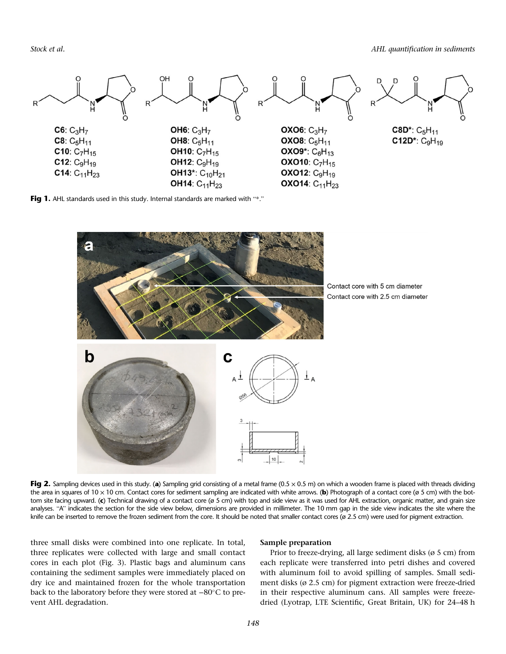Stock et al. **AHL** quantification in sediments



Fig 1. AHL standards used in this study. Internal standards are marked with "\*."



Contact core with 2.5 cm diameter

Fig 2. Sampling devices used in this study. (a) Sampling grid consisting of a metal frame ( $0.5 \times 0.5$  m) on which a wooden frame is placed with threads dividing the area in squares of 10  $\times$  10 cm. Contact cores for sediment sampling are indicated with white arrows. (b) Photograph of a contact core (ø 5 cm) with the bottom site facing upward. (c) Technical drawing of a contact core ( $\sigma$  5 cm) with top and side view as it was used for AHL extraction, organic matter, and grain size analyses. "A" indicates the section for the side view below, dimensions are provided in millimeter. The 10 mm gap in the side view indicates the site where the knife can be inserted to remove the frozen sediment from the core. It should be noted that smaller contact cores (ø 2.5 cm) were used for pigment extraction.

three small disks were combined into one replicate. In total, three replicates were collected with large and small contact cores in each plot (Fig. 3). Plastic bags and aluminum cans containing the sediment samples were immediately placed on dry ice and maintained frozen for the whole transportation back to the laboratory before they were stored at –80°C to prevent AHL degradation.

## Sample preparation

Prior to freeze-drying, all large sediment disks (ø 5 cm) from each replicate were transferred into petri dishes and covered with aluminum foil to avoid spilling of samples. Small sediment disks (ø 2.5 cm) for pigment extraction were freeze-dried in their respective aluminum cans. All samples were freezedried (Lyotrap, LTE Scientific, Great Britain, UK) for 24–48 h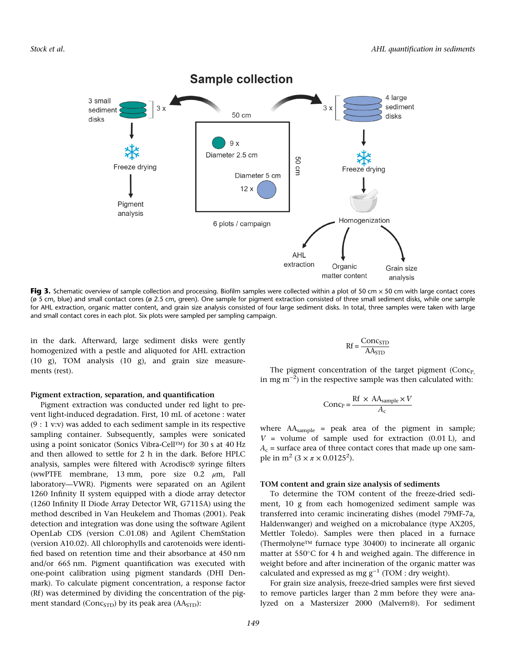

Fig 3. Schematic overview of sample collection and processing. Biofilm samples were collected within a plot of 50 cm  $\times$  50 cm with large contact cores (ø 5 cm, blue) and small contact cores (ø 2.5 cm, green). One sample for pigment extraction consisted of three small sediment disks, while one sample for AHL extraction, organic matter content, and grain size analysis consisted of four large sediment disks. In total, three samples were taken with large and small contact cores in each plot. Six plots were sampled per sampling campaign.

in the dark. Afterward, large sediment disks were gently homogenized with a pestle and aliquoted for AHL extraction (10 g), TOM analysis (10 g), and grain size measurements (rest).

#### Pigment extraction, separation, and quantification

Pigment extraction was conducted under red light to prevent light-induced degradation. First, 10 mL of acetone : water (9 : 1 v:v) was added to each sediment sample in its respective sampling container. Subsequently, samples were sonicated using a point sonicator (Sonics Vibra-Cell™) for 30 s at 40 Hz and then allowed to settle for 2 h in the dark. Before HPLC analysis, samples were filtered with Acrodisc® syringe filters (wwPTFE membrane, 13 mm, pore size 0.2 μm, Pall laboratory—VWR). Pigments were separated on an Agilent 1260 Infinity II system equipped with a diode array detector (1260 Infinity II Diode Array Detector WR, G7115A) using the method described in Van Heukelem and Thomas (2001). Peak detection and integration was done using the software Agilent OpenLab CDS (version C.01.08) and Agilent ChemStation (version A10.02). All chlorophylls and carotenoids were identified based on retention time and their absorbance at 450 nm and/or 665 nm. Pigment quantification was executed with one-point calibration using pigment standards (DHI Denmark). To calculate pigment concentration, a response factor (Rf) was determined by dividing the concentration of the pigment standard ( $Conc_{\text{STD}}$ ) by its peak area ( $AA_{\text{STD}}$ ):

$$
Rf = \frac{Conc_{STD}}{A A_{STD}}
$$

The pigment concentration of the target pigment  $(Conc_{P_1})$ in mg m<sup>-2</sup>) in the respective sample was then calculated with:

$$
Conc_P = \frac{Rf \times AA_{sample} \times V}{A_c}
$$

where AAsample = peak area of the pigment in sample;  $V =$  volume of sample used for extraction (0.01 L), and  $A_c$  = surface area of three contact cores that made up one sample in m<sup>2</sup> (3 ×  $\pi$  × 0.0125<sup>2</sup>).

# TOM content and grain size analysis of sediments

To determine the TOM content of the freeze-dried sediment, 10 g from each homogenized sediment sample was transferred into ceramic incinerating dishes (model 79MF-7a, Haldenwanger) and weighed on a microbalance (type AX205, Mettler Toledo). Samples were then placed in a furnace (Thermolyne™ furnace type 30400) to incinerate all organic matter at  $550^{\circ}$ C for 4 h and weighed again. The difference in weight before and after incineration of the organic matter was calculated and expressed as mg  $g^{-1}$  (TOM : dry weight).

For grain size analysis, freeze-dried samples were first sieved to remove particles larger than 2 mm before they were analyzed on a Mastersizer 2000 (Malvern®). For sediment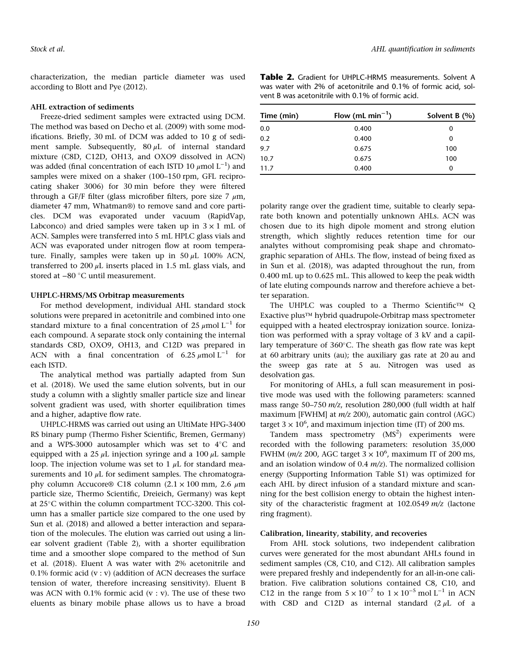characterization, the median particle diameter was used according to Blott and Pye (2012).

# AHL extraction of sediments

Freeze-dried sediment samples were extracted using DCM. The method was based on Decho et al. (2009) with some modifications. Briefly, 30 mL of DCM was added to 10 g of sediment sample. Subsequently,  $80 \mu L$  of internal standard mixture (C8D, C12D, OH13, and OXO9 dissolved in ACN) was added (final concentration of each ISTD 10  $\mu$ mol L<sup>-1</sup>) and samples were mixed on a shaker (100–150 rpm, GFL reciprocating shaker 3006) for 30 min before they were filtered through a GF/F filter (glass microfiber filters, pore size 7  $\mu$ m, diameter 47 mm, Whatman®) to remove sand and core particles. DCM was evaporated under vacuum (RapidVap, Labconco) and dried samples were taken up in  $3 \times 1$  mL of ACN. Samples were transferred into 5 mL HPLC glass vials and ACN was evaporated under nitrogen flow at room temperature. Finally, samples were taken up in  $50 \mu L$  100% ACN, transferred to 200  $\mu$ L inserts placed in 1.5 mL glass vials, and stored at −80 °C until measurement.

#### UHPLC-HRMS/MS Orbitrap measurements

For method development, individual AHL standard stock solutions were prepared in acetonitrile and combined into one standard mixture to a final concentration of 25  $\mu$ mol L<sup>-1</sup> for each compound. A separate stock only containing the internal standards C8D, OXO9, OH13, and C12D was prepared in ACN with a final concentration of 6.25  $\mu$ mol L<sup>-1</sup> for each ISTD.

The analytical method was partially adapted from Sun et al. (2018). We used the same elution solvents, but in our study a column with a slightly smaller particle size and linear solvent gradient was used, with shorter equilibration times and a higher, adaptive flow rate.

UHPLC-HRMS was carried out using an UltiMate HPG-3400 RS binary pump (Thermo Fisher Scientific, Bremen, Germany) and a WPS-3000 autosampler which was set to  $4^{\circ}$ C and equipped with a 25  $\mu$ L injection syringe and a 100  $\mu$ L sample loop. The injection volume was set to 1  $\mu$ L for standard measurements and 10  $\mu$ L for sediment samples. The chromatography column Accucore® C18 column  $(2.1 \times 100 \text{ mm}, 2.6 \mu \text{m})$ particle size, Thermo Scientific, Dreieich, Germany) was kept at 25°C within the column compartment TCC-3200. This column has a smaller particle size compared to the one used by Sun et al. (2018) and allowed a better interaction and separation of the molecules. The elution was carried out using a linear solvent gradient (Table 2), with a shorter equilibration time and a smoother slope compared to the method of Sun et al. (2018). Eluent A was water with 2% acetonitrile and 0.1% formic acid  $(v : v)$  (addition of ACN decreases the surface tension of water, therefore increasing sensitivity). Eluent B was ACN with  $0.1\%$  formic acid (v : v). The use of these two eluents as binary mobile phase allows us to have a broad

Table 2. Gradient for UHPLC-HRMS measurements. Solvent A was water with 2% of acetonitrile and 0.1% of formic acid, solvent B was acetonitrile with 0.1% of formic acid.

| Time (min) | Flow (mL min <sup>-1</sup> ) | Solvent B $(%)$ |  |
|------------|------------------------------|-----------------|--|
| 0.0        | 0.400                        | 0               |  |
| 0.2        | 0.400                        | 0               |  |
| 9.7        | 0.675                        | 100             |  |
| 10.7       | 0.675                        | 100             |  |
| 11.7       | 0.400                        | 0               |  |

polarity range over the gradient time, suitable to clearly separate both known and potentially unknown AHLs. ACN was chosen due to its high dipole moment and strong elution strength, which slightly reduces retention time for our analytes without compromising peak shape and chromatographic separation of AHLs. The flow, instead of being fixed as in Sun et al. (2018), was adapted throughout the run, from 0.400 mL up to 0.625 mL. This allowed to keep the peak width of late eluting compounds narrow and therefore achieve a better separation.

The UHPLC was coupled to a Thermo Scientific™ Q Exactive plus™ hybrid quadrupole-Orbitrap mass spectrometer equipped with a heated electrospray ionization source. Ionization was performed with a spray voltage of 3 kV and a capillary temperature of  $360^{\circ}$ C. The sheath gas flow rate was kept at 60 arbitrary units (au); the auxiliary gas rate at 20 au and the sweep gas rate at 5 au. Nitrogen was used as desolvation gas.

For monitoring of AHLs, a full scan measurement in positive mode was used with the following parameters: scanned mass range 50–750 m/z, resolution 280,000 (full width at half maximum [FWHM] at m/z 200), automatic gain control (AGC) target  $3 \times 10^6$ , and maximum injection time (IT) of 200 ms.

Tandem mass spectrometry  $(MS<sup>2</sup>)$  experiments were recorded with the following parameters: resolution 35,000 FWHM ( $m/z$  200, AGC target  $3 \times 10^6$ , maximum IT of 200 ms, and an isolation window of  $0.4$   $m/z$ ). The normalized collision energy (Supporting Information Table S1) was optimized for each AHL by direct infusion of a standard mixture and scanning for the best collision energy to obtain the highest intensity of the characteristic fragment at 102.0549 m/z (lactone ring fragment).

## Calibration, linearity, stability, and recoveries

From AHL stock solutions, two independent calibration curves were generated for the most abundant AHLs found in sediment samples (C8, C10, and C12). All calibration samples were prepared freshly and independently for an all-in-one calibration. Five calibration solutions contained C8, C10, and C12 in the range from  $5 \times 10^{-7}$  to  $1 \times 10^{-5}$  mol L<sup>-1</sup> in ACN with C8D and C12D as internal standard  $(2 \mu L)$  of a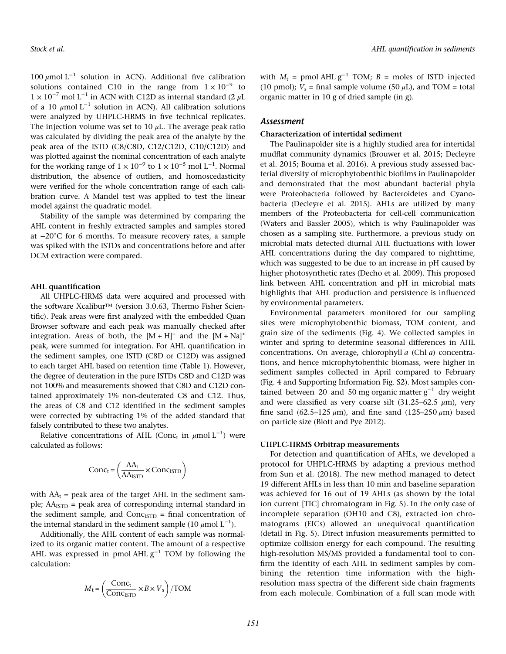100 μmol L<sup>-1</sup> solution in ACN). Additional five calibration solutions contained C10 in the range from  $1 \times 10^{-9}$  to  $1 \times 10^{-7}$  mol L<sup>-1</sup> in ACN with C12D as internal standard (2 µL of a 10  $\mu$ mol L<sup>-1</sup> solution in ACN). All calibration solutions were analyzed by UHPLC-HRMS in five technical replicates. The injection volume was set to 10  $\mu$ L. The average peak ratio was calculated by dividing the peak area of the analyte by the peak area of the ISTD (C8/C8D, C12/C12D, C10/C12D) and was plotted against the nominal concentration of each analyte for the working range of  $1 \times 10^{-9}$  to  $1 \times 10^{-5}$  mol L<sup>-1</sup>. Normal distribution, the absence of outliers, and homoscedasticity were verified for the whole concentration range of each calibration curve. A Mandel test was applied to test the linear model against the quadratic model.

Stability of the sample was determined by comparing the AHL content in freshly extracted samples and samples stored at −20C for 6 months. To measure recovery rates, a sample was spiked with the ISTDs and concentrations before and after DCM extraction were compared.

#### AHL quantification

All UHPLC-HRMS data were acquired and processed with the software Xcalibur™ (version 3.0.63, Thermo Fisher Scientific). Peak areas were first analyzed with the embedded Quan Browser software and each peak was manually checked after integration. Areas of both, the  $[M + H]^{+}$  and the  $[M + Na]^{+}$ peak, were summed for integration. For AHL quantification in the sediment samples, one ISTD (C8D or C12D) was assigned to each target AHL based on retention time (Table 1). However, the degree of deuteration in the pure ISTDs C8D and C12D was not 100% and measurements showed that C8D and C12D contained approximately 1% non-deuterated C8 and C12. Thus, the areas of C8 and C12 identified in the sediment samples were corrected by subtracting 1% of the added standard that falsely contributed to these two analytes.

Relative concentrations of AHL (Conc<sub>t</sub> in  $\mu$ mol L<sup>-1</sup>) were calculated as follows:

$$
Conc_t = \left(\frac{AA_t}{AA_{\text{ISTD}}} \times Conc_{\text{ISTD}}\right)
$$

with  $AA_t$  = peak area of the target AHL in the sediment sample;  $AA<sub>ISTD</sub>$  = peak area of corresponding internal standard in the sediment sample, and  $Conc_{\text{ISTD}}$  = final concentration of the internal standard in the sediment sample (10 µmol  $\text{L}^{-1}$ ).

Additionally, the AHL content of each sample was normalized to its organic matter content. The amount of a respective AHL was expressed in pmol AHL  $g^{-1}$  TOM by following the calculation:

$$
M_{\rm t} = \left(\frac{\text{Conc}_{\rm t}}{\text{Conc}_{\rm{ISTD}}} \times B \times V_{\rm s}\right) / \text{TON}
$$

with  $M_t$  = pmol AHL  $g^{-1}$  TOM;  $B$  = moles of ISTD injected (10 pmol);  $V_s$  = final sample volume (50  $\mu$ L), and TOM = total organic matter in 10 g of dried sample (in g).

# Assessment

# Characterization of intertidal sediment

The Paulinapolder site is a highly studied area for intertidal mudflat community dynamics (Brouwer et al. 2015; Decleyre et al. 2015; Bouma et al. 2016). A previous study assessed bacterial diversity of microphytobenthic biofilms in Paulinapolder and demonstrated that the most abundant bacterial phyla were Proteobacteria followed by Bacteroidetes and Cyanobacteria (Decleyre et al. 2015). AHLs are utilized by many members of the Proteobacteria for cell-cell communication (Waters and Bassler 2005), which is why Paulinapolder was chosen as a sampling site. Furthermore, a previous study on microbial mats detected diurnal AHL fluctuations with lower AHL concentrations during the day compared to nighttime, which was suggested to be due to an increase in pH caused by higher photosynthetic rates (Decho et al. 2009). This proposed link between AHL concentration and pH in microbial mats highlights that AHL production and persistence is influenced by environmental parameters.

Environmental parameters monitored for our sampling sites were microphytobenthic biomass, TOM content, and grain size of the sediments (Fig. 4). We collected samples in winter and spring to determine seasonal differences in AHL concentrations. On average, chlorophyll a (Chl a) concentrations, and hence microphytobenthic biomass, were higher in sediment samples collected in April compared to February (Fig. 4 and Supporting Information Fig. S2). Most samples contained between 20 and 50 mg organic matter  $g^{-1}$  dry weight and were classified as very coarse silt  $(31.25-62.5 \mu m)$ , very fine sand (62.5–125  $\mu$ m), and fine sand (125–250  $\mu$ m) based on particle size (Blott and Pye 2012).

#### UHPLC-HRMS Orbitrap measurements

For detection and quantification of AHLs, we developed a protocol for UHPLC-HRMS by adapting a previous method from Sun et al. (2018). The new method managed to detect 19 different AHLs in less than 10 min and baseline separation was achieved for 16 out of 19 AHLs (as shown by the total ion current [TIC] chromatogram in Fig. 5). In the only case of incomplete separation (OH10 and C8), extracted ion chromatograms (EICs) allowed an unequivocal quantification (detail in Fig. 5). Direct infusion measurements permitted to optimize collision energy for each compound. The resulting high-resolution MS/MS provided a fundamental tool to confirm the identity of each AHL in sediment samples by combining the retention time information with the highresolution mass spectra of the different side chain fragments from each molecule. Combination of a full scan mode with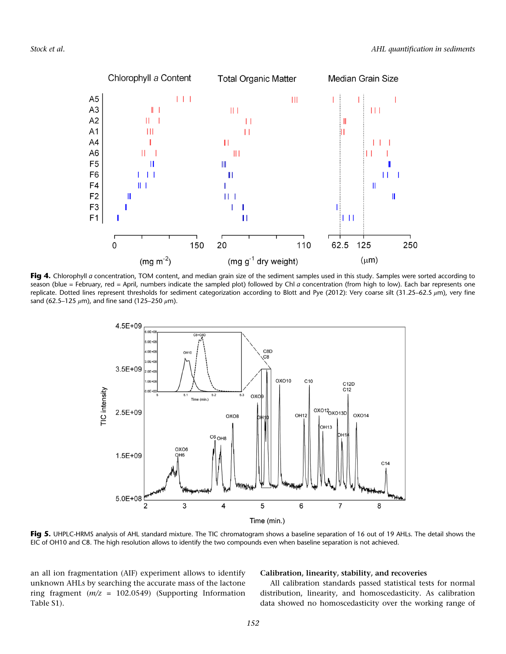

Fig 4. Chlorophyll a concentration, TOM content, and median grain size of the sediment samples used in this study. Samples were sorted according to season (blue = February, red = April, numbers indicate the sampled plot) followed by Chl a concentration (from high to low). Each bar represents one replicate. Dotted lines represent thresholds for sediment categorization according to Blott and Pye (2012): Very coarse silt (31.25–62.5 μm), very fine sand (62.5–125  $\mu$ m), and fine sand (125–250  $\mu$ m).



Fig 5. UHPLC-HRMS analysis of AHL standard mixture. The TIC chromatogram shows a baseline separation of 16 out of 19 AHLs. The detail shows the EIC of OH10 and C8. The high resolution allows to identify the two compounds even when baseline separation is not achieved.

an all ion fragmentation (AIF) experiment allows to identify unknown AHLs by searching the accurate mass of the lactone ring fragment  $(m/z = 102.0549)$  (Supporting Information Table S1).

# Calibration, linearity, stability, and recoveries

All calibration standards passed statistical tests for normal distribution, linearity, and homoscedasticity. As calibration data showed no homoscedasticity over the working range of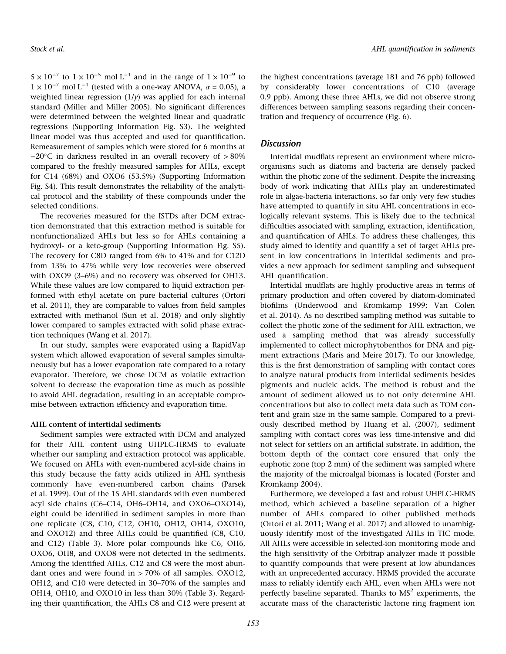$5 \times 10^{-7}$  to  $1 \times 10^{-5}$  mol L<sup>-1</sup> and in the range of  $1 \times 10^{-9}$  to  $1 \times 10^{-7}$  mol L<sup>-1</sup> (tested with a one-way ANOVA,  $\alpha = 0.05$ ), a weighted linear regression  $(1/y)$  was applied for each internal standard (Miller and Miller 2005). No significant differences were determined between the weighted linear and quadratic regressions (Supporting Information Fig. S3). The weighted linear model was thus accepted and used for quantification. Remeasurement of samples which were stored for 6 months at −20C in darkness resulted in an overall recovery of > 80% compared to the freshly measured samples for AHLs, except for C14 (68%) and OXO6 (53.5%) (Supporting Information Fig. S4). This result demonstrates the reliability of the analytical protocol and the stability of these compounds under the selected conditions.

The recoveries measured for the ISTDs after DCM extraction demonstrated that this extraction method is suitable for nonfunctionalized AHLs but less so for AHLs containing a hydroxyl- or a keto-group (Supporting Information Fig. S5). The recovery for C8D ranged from 6% to 41% and for C12D from 13% to 47% while very low recoveries were observed with OXO9 (3–6%) and no recovery was observed for OH13. While these values are low compared to liquid extraction performed with ethyl acetate on pure bacterial cultures (Ortori et al. 2011), they are comparable to values from field samples extracted with methanol (Sun et al. 2018) and only slightly lower compared to samples extracted with solid phase extraction techniques (Wang et al. 2017).

In our study, samples were evaporated using a RapidVap system which allowed evaporation of several samples simultaneously but has a lower evaporation rate compared to a rotary evaporator. Therefore, we chose DCM as volatile extraction solvent to decrease the evaporation time as much as possible to avoid AHL degradation, resulting in an acceptable compromise between extraction efficiency and evaporation time.

## AHL content of intertidal sediments

Sediment samples were extracted with DCM and analyzed for their AHL content using UHPLC-HRMS to evaluate whether our sampling and extraction protocol was applicable. We focused on AHLs with even-numbered acyl-side chains in this study because the fatty acids utilized in AHL synthesis commonly have even-numbered carbon chains (Parsek et al. 1999). Out of the 15 AHL standards with even numbered acyl side chains (C6–C14, OH6–OH14, and OXO6–OXO14), eight could be identified in sediment samples in more than one replicate (C8, C10, C12, OH10, OH12, OH14, OXO10, and OXO12) and three AHLs could be quantified (C8, C10, and C12) (Table 3). More polar compounds like C6, OH6, OXO6, OH8, and OXO8 were not detected in the sediments. Among the identified AHLs, C12 and C8 were the most abundant ones and were found in > 70% of all samples. OXO12, OH12, and C10 were detected in 30–70% of the samples and OH14, OH10, and OXO10 in less than 30% (Table 3). Regarding their quantification, the AHLs C8 and C12 were present at

the highest concentrations (average 181 and 76 ppb) followed by considerably lower concentrations of C10 (average 0.9 ppb). Among these three AHLs, we did not observe strong differences between sampling seasons regarding their concentration and frequency of occurrence (Fig. 6).

# **Discussion**

Intertidal mudflats represent an environment where microorganisms such as diatoms and bacteria are densely packed within the photic zone of the sediment. Despite the increasing body of work indicating that AHLs play an underestimated role in algae-bacteria interactions, so far only very few studies have attempted to quantify in situ AHL concentrations in ecologically relevant systems. This is likely due to the technical difficulties associated with sampling, extraction, identification, and quantification of AHLs. To address these challenges, this study aimed to identify and quantify a set of target AHLs present in low concentrations in intertidal sediments and provides a new approach for sediment sampling and subsequent AHL quantification.

Intertidal mudflats are highly productive areas in terms of primary production and often covered by diatom-dominated biofilms (Underwood and Kromkamp 1999; Van Colen et al. 2014). As no described sampling method was suitable to collect the photic zone of the sediment for AHL extraction, we used a sampling method that was already successfully implemented to collect microphytobenthos for DNA and pigment extractions (Maris and Meire 2017). To our knowledge, this is the first demonstration of sampling with contact cores to analyze natural products from intertidal sediments besides pigments and nucleic acids. The method is robust and the amount of sediment allowed us to not only determine AHL concentrations but also to collect meta data such as TOM content and grain size in the same sample. Compared to a previously described method by Huang et al. (2007), sediment sampling with contact cores was less time-intensive and did not select for settlers on an artificial substrate. In addition, the bottom depth of the contact core ensured that only the euphotic zone (top 2 mm) of the sediment was sampled where the majority of the microalgal biomass is located (Forster and Kromkamp 2004).

Furthermore, we developed a fast and robust UHPLC-HRMS method, which achieved a baseline separation of a higher number of AHLs compared to other published methods (Ortori et al. 2011; Wang et al. 2017) and allowed to unambiguously identify most of the investigated AHLs in TIC mode. All AHLs were accessible in selected-ion monitoring mode and the high sensitivity of the Orbitrap analyzer made it possible to quantify compounds that were present at low abundances with an unprecedented accuracy. HRMS provided the accurate mass to reliably identify each AHL, even when AHLs were not perfectly baseline separated. Thanks to  $MS<sup>2</sup>$  experiments, the accurate mass of the characteristic lactone ring fragment ion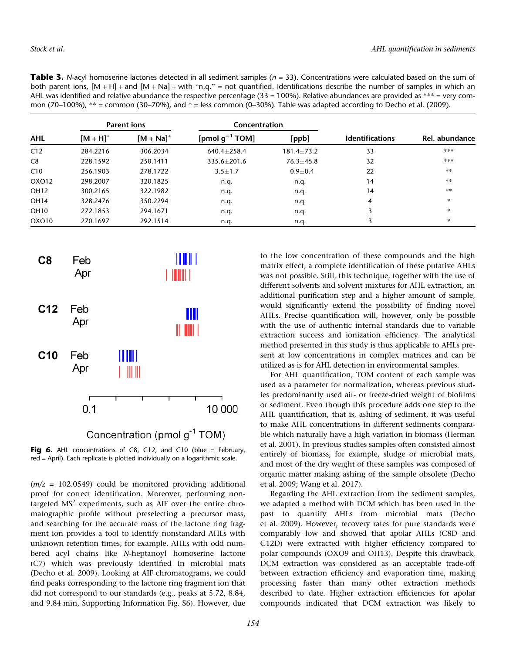| mon (70–100%), $**$ = common (30–70%), and $*$ = less common (0–30%). Table was adapted according to Decho et al. (2009). |                    |                |                     |                  |                        |                |  |  |
|---------------------------------------------------------------------------------------------------------------------------|--------------------|----------------|---------------------|------------------|------------------------|----------------|--|--|
| AHL                                                                                                                       | <b>Parent ions</b> |                | Concentration       |                  |                        |                |  |  |
|                                                                                                                           | $[M + H]^{+}$      | $[M + Na]^{+}$ | [pmol $q^{-1}$ TOM] | [ppb]            | <b>Identifications</b> | Rel. abundance |  |  |
| C12                                                                                                                       | 284.2216           | 306.2034       | $640.4 + 258.4$     | $181.4 \pm 73.2$ | 33                     | ***            |  |  |
| C8                                                                                                                        | 228.1592           | 250.1411       | 335.6±201.6         | $76.3 \pm 45.8$  | 32                     | ***            |  |  |
| C10                                                                                                                       | 256.1903           | 278.1722       | $3.5 \pm 1.7$       | $0.9 + 0.4$      | 22                     | **             |  |  |
| OXO12                                                                                                                     | 298.2007           | 320.1825       | n.q.                | n.q.             | 14                     | **             |  |  |
| OH12                                                                                                                      | 300.2165           | 322.1982       | n.q.                | n.q.             | 14                     | **             |  |  |
| OH14                                                                                                                      | 328,2476           | 350.2294       | n.q.                | n.q.             | 4                      | $\ast$         |  |  |
| OH10                                                                                                                      | 272.1853           | 294.1671       | n.q.                | n.q.             |                        | $\ast$         |  |  |
| OXO10                                                                                                                     | 270.1697           | 292.1514       | n.q.                | n.q.             |                        | $\ast$         |  |  |

**Table 3.** N-acyl homoserine lactones detected in all sediment samples ( $n = 33$ ). Concentrations were calculated based on the sum of both parent ions,  $[M + H] +$  and  $[M + Na] +$  with "n.g." = not quantified. Identifications describe the number of samples in which an AHL was identified and relative abundance the respective percentage (33 = 100%). Relative abundances are provided as  $*** =$  very com-



Fig 6. AHL concentrations of C8, C12, and C10 (blue = February, red = April). Each replicate is plotted individually on a logarithmic scale.

 $(m/z = 102.0549)$  could be monitored providing additional proof for correct identification. Moreover, performing nontargeted  $MS<sup>2</sup>$  experiments, such as AIF over the entire chromatographic profile without preselecting a precursor mass, and searching for the accurate mass of the lactone ring fragment ion provides a tool to identify nonstandard AHLs with unknown retention times, for example, AHLs with odd numbered acyl chains like N-heptanoyl homoserine lactone (C7) which was previously identified in microbial mats (Decho et al. 2009). Looking at AIF chromatograms, we could find peaks corresponding to the lactone ring fragment ion that did not correspond to our standards (e.g., peaks at 5.72, 8.84, and 9.84 min, Supporting Information Fig. S6). However, due to the low concentration of these compounds and the high matrix effect, a complete identification of these putative AHLs was not possible. Still, this technique, together with the use of different solvents and solvent mixtures for AHL extraction, an additional purification step and a higher amount of sample, would significantly extend the possibility of finding novel AHLs. Precise quantification will, however, only be possible with the use of authentic internal standards due to variable extraction success and ionization efficiency. The analytical method presented in this study is thus applicable to AHLs present at low concentrations in complex matrices and can be utilized as is for AHL detection in environmental samples.

For AHL quantification, TOM content of each sample was used as a parameter for normalization, whereas previous studies predominantly used air- or freeze-dried weight of biofilms or sediment. Even though this procedure adds one step to the AHL quantification, that is, ashing of sediment, it was useful to make AHL concentrations in different sediments comparable which naturally have a high variation in biomass (Herman et al. 2001). In previous studies samples often consisted almost entirely of biomass, for example, sludge or microbial mats, and most of the dry weight of these samples was composed of organic matter making ashing of the sample obsolete (Decho et al. 2009; Wang et al. 2017).

Regarding the AHL extraction from the sediment samples, we adapted a method with DCM which has been used in the past to quantify AHLs from microbial mats (Decho et al. 2009). However, recovery rates for pure standards were comparably low and showed that apolar AHLs (C8D and C12D) were extracted with higher efficiency compared to polar compounds (OXO9 and OH13). Despite this drawback, DCM extraction was considered as an acceptable trade-off between extraction efficiency and evaporation time, making processing faster than many other extraction methods described to date. Higher extraction efficiencies for apolar compounds indicated that DCM extraction was likely to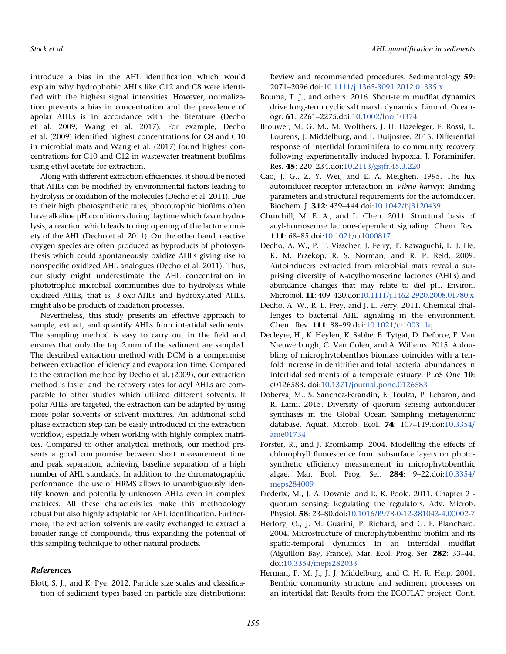introduce a bias in the AHL identification which would explain why hydrophobic AHLs like C12 and C8 were identified with the highest signal intensities. However, normalization prevents a bias in concentration and the prevalence of apolar AHLs is in accordance with the literature (Decho et al. 2009; Wang et al. 2017). For example, Decho et al. (2009) identified highest concentrations for C8 and C10 in microbial mats and Wang et al. (2017) found highest concentrations for C10 and C12 in wastewater treatment biofilms using ethyl acetate for extraction.

Along with different extraction efficiencies, it should be noted that AHLs can be modified by environmental factors leading to hydrolysis or oxidation of the molecules (Decho et al. 2011). Due to their high photosynthetic rates, phototrophic biofilms often have alkaline pH conditions during daytime which favor hydrolysis, a reaction which leads to ring opening of the lactone moiety of the AHL (Decho et al. 2011). On the other hand, reactive oxygen species are often produced as byproducts of photosynthesis which could spontaneously oxidize AHLs giving rise to nonspecific oxidized AHL analogues (Decho et al. 2011). Thus, our study might underestimate the AHL concentration in phototrophic microbial communities due to hydrolysis while oxidized AHLs, that is, 3-oxo-AHLs and hydroxylated AHLs, might also be products of oxidation processes.

Nevertheless, this study presents an effective approach to sample, extract, and quantify AHLs from intertidal sediments. The sampling method is easy to carry out in the field and ensures that only the top 2 mm of the sediment are sampled. The described extraction method with DCM is a compromise between extraction efficiency and evaporation time. Compared to the extraction method by Decho et al. (2009), our extraction method is faster and the recovery rates for acyl AHLs are comparable to other studies which utilized different solvents. If polar AHLs are targeted, the extraction can be adapted by using more polar solvents or solvent mixtures. An additional solid phase extraction step can be easily introduced in the extraction workflow, especially when working with highly complex matrices. Compared to other analytical methods, our method presents a good compromise between short measurement time and peak separation, achieving baseline separation of a high number of AHL standards. In addition to the chromatographic performance, the use of HRMS allows to unambiguously identify known and potentially unknown AHLs even in complex matrices. All these characteristics make this methodology robust but also highly adaptable for AHL identification. Furthermore, the extraction solvents are easily exchanged to extract a broader range of compounds, thus expanding the potential of this sampling technique to other natural products.

# References

Blott, S. J., and K. Pye. 2012. Particle size scales and classification of sediment types based on particle size distributions: Review and recommended procedures. Sedimentology 59: 2071–2096.doi[:10.1111/j.1365-3091.2012.01335.x](https://doi.org/10.1111/j.1365-3091.2012.01335.x)

- Bouma, T. J., and others. 2016. Short-term mudflat dynamics drive long-term cyclic salt marsh dynamics. Limnol. Oceanogr. 61: 2261–2275.doi[:10.1002/lno.10374](https://doi.org/10.1002/lno.10374)
- Brouwer, M. G. M., M. Wolthers, J. H. Hazeleger, F. Rossi, L. Lourens, J. Middelburg, and I. Duijnstee. 2015. Differential response of intertidal foraminifera to community recovery following experimentally induced hypoxia. J. Foraminifer. Res. 45: 220–234.doi[:10.2113/gsjfr.45.3.220](https://doi.org/10.2113/gsjfr.45.3.220)
- Cao, J. G., Z. Y. Wei, and E. A. Meighen. 1995. The lux autoinducer-receptor interaction in Vibrio harveyi: Binding parameters and structural requirements for the autoinducer. Biochem. J. 312: 439–444.doi:[10.1042/bj3120439](https://doi.org/10.1042/bj3120439)
- Churchill, M. E. A., and L. Chen. 2011. Structural basis of acyl-homoserine lactone-dependent signaling. Chem. Rev. 111: 68–85.doi:[10.1021/cr1000817](https://doi.org/10.1021/cr1000817)
- Decho, A. W., P. T. Visscher, J. Ferry, T. Kawaguchi, L. J. He, K. M. Przekop, R. S. Norman, and R. P. Reid. 2009. Autoinducers extracted from microbial mats reveal a surprising diversity of N-acylhomoserine lactones (AHLs) and abundance changes that may relate to diel pH. Environ. Microbiol. 11: 409–420.doi[:10.1111/j.1462-2920.2008.01780.x](https://doi.org/10.1111/j.1462-2920.2008.01780.x)
- Decho, A. W., R. L. Frey, and J. L. Ferry. 2011. Chemical challenges to bacterial AHL signaling in the environment. Chem. Rev. 111: 88–99.doi[:10.1021/cr100311q](https://doi.org/10.1021/cr100311q)
- Decleyre, H., K. Heylen, K. Sabbe, B. Tytgat, D. Deforce, F. Van Nieuwerburgh, C. Van Colen, and A. Willems. 2015. A doubling of microphytobenthos biomass coincides with a tenfold increase in denitrifier and total bacterial abundances in intertidal sediments of a temperate estuary. PLoS One 10: e0126583. doi:[10.1371/journal.pone.0126583](https://doi.org/10.1371/journal.pone.0126583)
- Doberva, M., S. Sanchez-Ferandin, E. Toulza, P. Lebaron, and R. Lami. 2015. Diversity of quorum sensing autoinducer synthases in the Global Ocean Sampling metagenomic database. Aquat. Microb. Ecol. 74: 107–119.doi[:10.3354/](https://doi.org/10.3354/ame01734) [ame01734](https://doi.org/10.3354/ame01734)
- Forster, R., and J. Kromkamp. 2004. Modelling the effects of chlorophyll fluorescence from subsurface layers on photosynthetic efficiency measurement in microphytobenthic algae. Mar. Ecol. Prog. Ser. 284: 9–22.doi[:10.3354/](https://doi.org/10.3354/meps284009) [meps284009](https://doi.org/10.3354/meps284009)
- Frederix, M., J. A. Downie, and R. K. Poole. 2011. Chapter 2 quorum sensing: Regulating the regulators. Adv. Microb. Physiol. 58: 23–80.doi:[10.1016/B978-0-12-381043-4.00002-7](https://doi.org/10.1016/B978-0-12-381043-4.00002-7)
- Herlory, O., J. M. Guarini, P. Richard, and G. F. Blanchard. 2004. Microstructure of microphytobenthic biofilm and its spatio-temporal dynamics in an intertidal mudflat (Aiguillon Bay, France). Mar. Ecol. Prog. Ser. 282: 33–44. doi:[10.3354/meps282033](https://doi.org/10.3354/meps282033)
- Herman, P. M. J., J. J. Middelburg, and C. H. R. Heip. 2001. Benthic community structure and sediment processes on an intertidal flat: Results from the ECOFLAT project. Cont.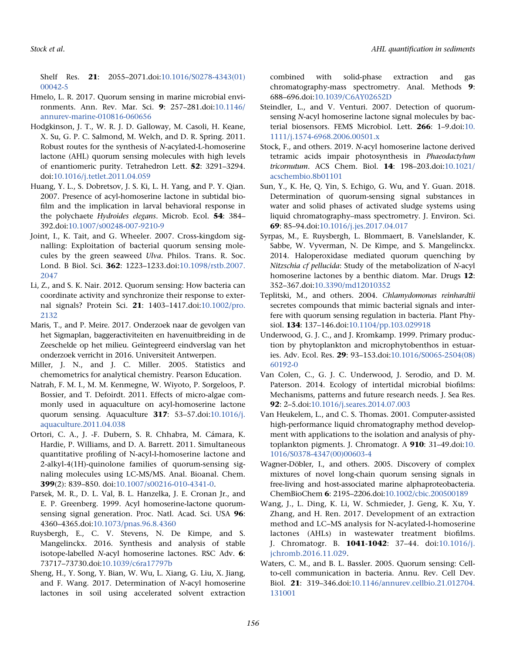Shelf Res. 21: 2055–2071.doi[:10.1016/S0278-4343\(01\)](https://doi.org/10.1016/S0278-4343(01)00042-5) [00042-5](https://doi.org/10.1016/S0278-4343(01)00042-5)

- Hmelo, L. R. 2017. Quorum sensing in marine microbial environments. Ann. Rev. Mar. Sci. 9: 257–281.doi[:10.1146/](https://doi.org/10.1146/annurev-marine-010816-060656) [annurev-marine-010816-060656](https://doi.org/10.1146/annurev-marine-010816-060656)
- Hodgkinson, J. T., W. R. J. D. Galloway, M. Casoli, H. Keane, X. Su, G. P. C. Salmond, M. Welch, and D. R. Spring. 2011. Robust routes for the synthesis of N-acylated-L-homoserine lactone (AHL) quorum sensing molecules with high levels of enantiomeric purity. Tetrahedron Lett. 52: 3291–3294. doi:[10.1016/j.tetlet.2011.04.059](https://doi.org/10.1016/j.tetlet.2011.04.059)
- Huang, Y. L., S. Dobretsov, J. S. Ki, L. H. Yang, and P. Y. Qian. 2007. Presence of acyl-homoserine lactone in subtidal biofilm and the implication in larval behavioral response in the polychaete Hydroides elegans. Microb. Ecol. 54: 384-392.doi:[10.1007/s00248-007-9210-9](https://doi.org/10.1007/s00248-007-9210-9)
- Joint, I., K. Tait, and G. Wheeler. 2007. Cross-kingdom signalling: Exploitation of bacterial quorum sensing molecules by the green seaweed Ulva. Philos. Trans. R. Soc. Lond. B Biol. Sci. 362: 1223–1233.doi[:10.1098/rstb.2007.](https://doi.org/10.1098/rstb.2007.2047) [2047](https://doi.org/10.1098/rstb.2007.2047)
- Li, Z., and S. K. Nair. 2012. Quorum sensing: How bacteria can coordinate activity and synchronize their response to external signals? Protein Sci. 21: 1403–1417.doi:[10.1002/pro.](https://doi.org/10.1002/pro.2132) [2132](https://doi.org/10.1002/pro.2132)
- Maris, T., and P. Meire. 2017. Onderzoek naar de gevolgen van het Sigmaplan, baggeractiviteiten en havenuitbreiding in de Zeeschelde op het milieu. Geïntegreerd eindverslag van het onderzoek verricht in 2016. Universiteit Antwerpen.
- Miller, J. N., and J. C. Miller. 2005. Statistics and chemometrics for analytical chemistry. Pearson Education.
- Natrah, F. M. I., M. M. Kenmegne, W. Wiyoto, P. Sorgeloos, P. Bossier, and T. Defoirdt. 2011. Effects of micro-algae commonly used in aquaculture on acyl-homoserine lactone quorum sensing. Aquaculture 317: 53–57.doi:[10.1016/j.](https://doi.org/10.1016/j.aquaculture.2011.04.038) [aquaculture.2011.04.038](https://doi.org/10.1016/j.aquaculture.2011.04.038)
- Ortori, C. A., J. -F. Dubern, S. R. Chhabra, M. Cámara, K. Hardie, P. Williams, and D. A. Barrett. 2011. Simultaneous quantitative profiling of N-acyl-l-homoserine lactone and 2-alkyl-4(1H)-quinolone families of quorum-sensing signaling molecules using LC-MS/MS. Anal. Bioanal. Chem. 399(2): 839–850. doi[:10.1007/s00216-010-4341-0.](http://dx.doi.org/10.1007/s00216-010-4341-0)
- Parsek, M. R., D. L. Val, B. L. Hanzelka, J. E. Cronan Jr., and E. P. Greenberg. 1999. Acyl homoserine-lactone quorumsensing signal generation. Proc. Natl. Acad. Sci. USA 96: 4360–4365.doi[:10.1073/pnas.96.8.4360](https://doi.org/10.1073/pnas.96.8.4360)
- Ruysbergh, E., C. V. Stevens, N. De Kimpe, and S. Mangelinckx. 2016. Synthesis and analysis of stable isotope-labelled N-acyl homoserine lactones. RSC Adv. 6: 73717–73730.doi[:10.1039/c6ra17797b](https://doi.org/10.1039/c6ra17797b)
- Sheng, H., Y. Song, Y. Bian, W. Wu, L. Xiang, G. Liu, X. Jiang, and F. Wang. 2017. Determination of N-acyl homoserine lactones in soil using accelerated solvent extraction

combined with solid-phase extraction and gas chromatography-mass spectrometry. Anal. Methods 9: 688–696.doi:[10.1039/C6AY02652D](https://doi.org/10.1039/C6AY02652D)

- Steindler, L., and V. Venturi. 2007. Detection of quorumsensing N-acyl homoserine lactone signal molecules by bacterial biosensors. FEMS Microbiol. Lett. 266: 1–9.doi[:10.](https://doi.org/10.1111/j.1574-6968.2006.00501.x) [1111/j.1574-6968.2006.00501.x](https://doi.org/10.1111/j.1574-6968.2006.00501.x)
- Stock, F., and others. 2019. N-acyl homoserine lactone derived tetramic acids impair photosynthesis in Phaeodactylum tricornutum. ACS Chem. Biol. 14: 198–203.doi[:10.1021/](https://doi.org/10.1021/acschembio.8b01101) [acschembio.8b01101](https://doi.org/10.1021/acschembio.8b01101)
- Sun, Y., K. He, Q. Yin, S. Echigo, G. Wu, and Y. Guan. 2018. Determination of quorum-sensing signal substances in water and solid phases of activated sludge systems using liquid chromatography–mass spectrometry. J. Environ. Sci. 69: 85–94.doi:[10.1016/j.jes.2017.04.017](https://doi.org/10.1016/j.jes.2017.04.017)
- Syrpas, M., E. Ruysbergh, L. Blommaert, B. Vanelslander, K. Sabbe, W. Vyverman, N. De Kimpe, and S. Mangelinckx. 2014. Haloperoxidase mediated quorum quenching by Nitzschia cf pellucida: Study of the metabolization of N-acyl homoserine lactones by a benthic diatom. Mar. Drugs 12: 352–367.doi:[10.3390/md12010352](https://doi.org/10.3390/md12010352)
- Teplitski, M., and others. 2004. Chlamydomonas reinhardtii secretes compounds that mimic bacterial signals and interfere with quorum sensing regulation in bacteria. Plant Physiol. 134: 137–146.doi[:10.1104/pp.103.029918](https://doi.org/10.1104/pp.103.029918)
- Underwood, G. J. C., and J. Kromkamp. 1999. Primary production by phytoplankton and microphytobenthos in estuaries. Adv. Ecol. Res. 29: 93–153.doi[:10.1016/S0065-2504\(08\)](https://doi.org/10.1016/S0065-2504(08)60192-0) [60192-0](https://doi.org/10.1016/S0065-2504(08)60192-0)
- Van Colen, C., G. J. C. Underwood, J. Serodio, and D. M. Paterson. 2014. Ecology of intertidal microbial biofilms: Mechanisms, patterns and future research needs. J. Sea Res. 92: 2–5.doi:[10.1016/j.seares.2014.07.003](https://doi.org/10.1016/j.seares.2014.07.003)
- Van Heukelem, L., and C. S. Thomas. 2001. Computer-assisted high-performance liquid chromatography method development with applications to the isolation and analysis of phytoplankton pigments. J. Chromatogr. A 910: 31–49.doi[:10.](https://doi.org/10.1016/S0378-4347(00)00603-4) [1016/S0378-4347\(00\)00603-4](https://doi.org/10.1016/S0378-4347(00)00603-4)
- Wagner-Döbler, I., and others. 2005. Discovery of complex mixtures of novel long-chain quorum sensing signals in free-living and host-associated marine alphaproteobacteria. ChemBioChem 6: 2195–2206.doi[:10.1002/cbic.200500189](https://doi.org/10.1002/cbic.200500189)
- Wang, J., L. Ding, K. Li, W. Schmieder, J. Geng, K. Xu, Y. Zhang, and H. Ren. 2017. Development of an extraction method and LC–MS analysis for N-acylated-l-homoserine lactones (AHLs) in wastewater treatment biofilms. J. Chromatogr. B. 1041-1042: 37–44. doi[:10.1016/j.](http://dx.doi.org/10.1016/j.jchromb.2016.11.029) [jchromb.2016.11.029.](http://dx.doi.org/10.1016/j.jchromb.2016.11.029)
- Waters, C. M., and B. L. Bassler. 2005. Quorum sensing: Cellto-cell communication in bacteria. Annu. Rev. Cell Dev. Biol. 21: 319–346.doi[:10.1146/annurev.cellbio.21.012704.](https://doi.org/10.1146/annurev.cellbio.21.012704.131001) [131001](https://doi.org/10.1146/annurev.cellbio.21.012704.131001)